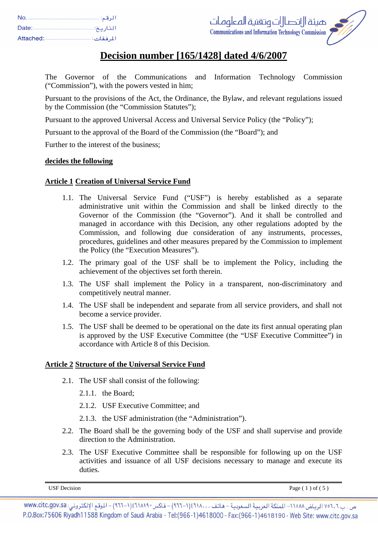| No.       | الرقم:    |
|-----------|-----------|
| Date:     | التاريخ:  |
| Attached: | المرفقات: |



# **Decision number [165/1428] dated 4/6/2007**

The Governor of the Communications and Information Technology Commission ("Commission"), with the powers vested in him;

Pursuant to the provisions of the Act, the Ordinance, the Bylaw, and relevant regulations issued by the Commission (the "Commission Statutes");

Pursuant to the approved Universal Access and Universal Service Policy (the "Policy");

Pursuant to the approval of the Board of the Commission (the "Board"); and

Further to the interest of the business;

## **decides the following**

# **Article 1 Creation of Universal Service Fund**

- 1.1. The Universal Service Fund ("USF") is hereby established as a separate administrative unit within the Commission and shall be linked directly to the Governor of the Commission (the "Governor"). And it shall be controlled and managed in accordance with this Decision, any other regulations adopted by the Commission, and following due consideration of any instruments, processes, procedures, guidelines and other measures prepared by the Commission to implement the Policy (the "Execution Measures").
- 1.2. The primary goal of the USF shall be to implement the Policy, including the achievement of the objectives set forth therein.
- 1.3. The USF shall implement the Policy in a transparent, non-discriminatory and competitively neutral manner.
- 1.4. The USF shall be independent and separate from all service providers, and shall not become a service provider.
- 1.5. The USF shall be deemed to be operational on the date its first annual operating plan is approved by the USF Executive Committee (the "USF Executive Committee") in accordance with Article 8 of this Decision.

## **Article 2 Structure of the Universal Service Fund**

- 2.1. The USF shall consist of the following:
	- 2.1.1. the Board;
	- 2.1.2. USF Executive Committee; and
	- 2.1.3. the USF administration (the "Administration").
- 2.2. The Board shall be the governing body of the USF and shall supervise and provide direction to the Administration.
- 2.3. The USF Executive Committee shall be responsible for following up on the USF activities and issuance of all USF decisions necessary to manage and execute its duties.

USF Decision  $\qquad \qquad \text{Page (1) of (5)}$ 

ص. ب ٧٥٦.٦ الرياض ١١٥٨٨- الملكة العربية السعودية – هاتف . . ،١٤٦١٨ (١-٩٦٦) – فاكس ١٤٦١٨١٩٠(١-٩٦٦) – الموقع الإلكتروني: www.citc.gov.sa P.O.Box:75606 Riyadh11588 Kingdom of Saudi Arabia - Tel:(966-1)4618000 - Fax:(966-1)4618190 - Web Site: www.citc.gov.sa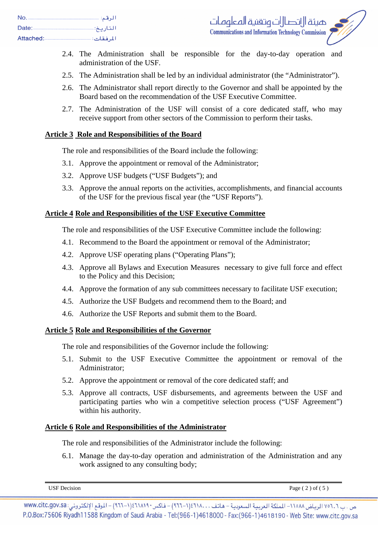| No.       | الرقم:    |
|-----------|-----------|
| Date:     | التاريخ   |
| Attached: | المرفقات: |

- 2.4. The Administration shall be responsible for the day-to-day operation and administration of the USF.
- 2.5. The Administration shall be led by an individual administrator (the "Administrator").
- 2.6. The Administrator shall report directly to the Governor and shall be appointed by the Board based on the recommendation of the USF Executive Committee.
- 2.7. The Administration of the USF will consist of a core dedicated staff, who may receive support from other sectors of the Commission to perform their tasks.

## **Article 3 Role and Responsibilities of the Board**

The role and responsibilities of the Board include the following:

- 3.1. Approve the appointment or removal of the Administrator;
- 3.2. Approve USF budgets ("USF Budgets"); and
- 3.3. Approve the annual reports on the activities, accomplishments, and financial accounts of the USF for the previous fiscal year (the "USF Reports").

## **Article 4 Role and Responsibilities of the USF Executive Committee**

The role and responsibilities of the USF Executive Committee include the following:

- 4.1. Recommend to the Board the appointment or removal of the Administrator;
- 4.2. Approve USF operating plans ("Operating Plans");
- 4.3. Approve all Bylaws and Execution Measures necessary to give full force and effect to the Policy and this Decision;
- 4.4. Approve the formation of any sub committees necessary to facilitate USF execution;
- 4.5. Authorize the USF Budgets and recommend them to the Board; and
- 4.6. Authorize the USF Reports and submit them to the Board.

# **Article 5 Role and Responsibilities of the Governor**

The role and responsibilities of the Governor include the following:

- 5.1. Submit to the USF Executive Committee the appointment or removal of the Administrator;
- 5.2. Approve the appointment or removal of the core dedicated staff; and
- 5.3. Approve all contracts, USF disbursements, and agreements between the USF and participating parties who win a competitive selection process ("USF Agreement") within his authority.

## **Article 6 Role and Responsibilities of the Administrator**

The role and responsibilities of the Administrator include the following:

6.1. Manage the day-to-day operation and administration of the Administration and any work assigned to any consulting body;

USF Decision Page ( 2 ) of ( 5 )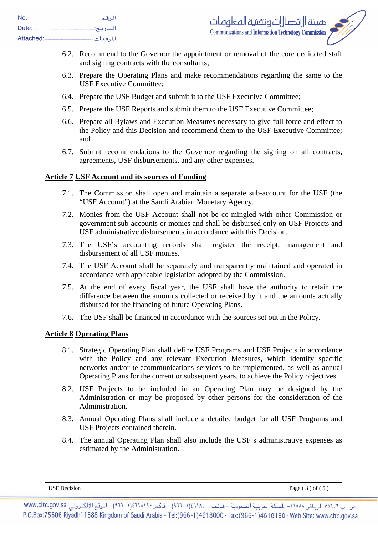| No.       | الرقم:    |
|-----------|-----------|
| Date:     | التاريخ:۔ |
| Attached: | المرفقات: |

- 6.2. Recommend to the Governor the appointment or removal of the core dedicated staff and signing contracts with the consultants;
- 6.3. Prepare the Operating Plans and make recommendations regarding the same to the USF Executive Committee;
- 6.4. Prepare the USF Budget and submit it to the USF Executive Committee;
- 6.5. Prepare the USF Reports and submit them to the USF Executive Committee;
- 6.6. Prepare all Bylaws and Execution Measures necessary to give full force and effect to the Policy and this Decision and recommend them to the USF Executive Committee; and
- 6.7. Submit recommendations to the Governor regarding the signing on all contracts, agreements, USF disbursements, and any other expenses.

# **Article 7 USF Account and its sources of Funding**

- 7.1. The Commission shall open and maintain a separate sub-account for the USF (the "USF Account") at the Saudi Arabian Monetary Agency.
- 7.2. Monies from the USF Account shall not be co-mingled with other Commission or government sub-accounts or monies and shall be disbursed only on USF Projects and USF administrative disbursements in accordance with this Decision.
- 7.3. The USF's accounting records shall register the receipt, management and disbursement of all USF monies.
- 7.4. The USF Account shall be separately and transparently maintained and operated in accordance with applicable legislation adopted by the Commission.
- 7.5. At the end of every fiscal year, the USF shall have the authority to retain the difference between the amounts collected or received by it and the amounts actually disbursed for the financing of future Operating Plans.
- 7.6. The USF shall be financed in accordance with the sources set out in the Policy.

## **Article 8 Operating Plans**

- 8.1. Strategic Operating Plan shall define USF Programs and USF Projects in accordance with the Policy and any relevant Execution Measures, which identify specific networks and/or telecommunications services to be implemented, as well as annual Operating Plans for the current or subsequent years, to achieve the Policy objectives.
- 8.2. USF Projects to be included in an Operating Plan may be designed by the Administration or may be proposed by other persons for the consideration of the Administration.
- 8.3. Annual Operating Plans shall include a detailed budget for all USF Programs and USF Projects contained therein.
- 8.4. The annual Operating Plan shall also include the USF's administrative expenses as estimated by the Administration.

USF Decision Page ( 3 ) of ( 5 )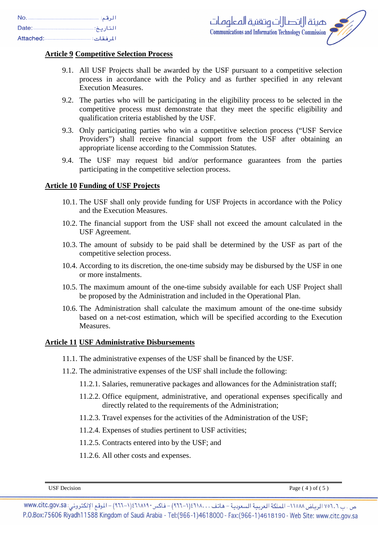#### **Article 9 Competitive Selection Process**

- 9.1. All USF Projects shall be awarded by the USF pursuant to a competitive selection process in accordance with the Policy and as further specified in any relevant Execution Measures.
- 9.2. The parties who will be participating in the eligibility process to be selected in the competitive process must demonstrate that they meet the specific eligibility and qualification criteria established by the USF.
- 9.3. Only participating parties who win a competitive selection process ("USF Service Providers") shall receive financial support from the USF after obtaining an appropriate license according to the Commission Statutes.
- 9.4. The USF may request bid and/or performance guarantees from the parties participating in the competitive selection process.

#### **Article 10 Funding of USF Projects**

- 10.1. The USF shall only provide funding for USF Projects in accordance with the Policy and the Execution Measures.
- 10.2. The financial support from the USF shall not exceed the amount calculated in the USF Agreement.
- 10.3. The amount of subsidy to be paid shall be determined by the USF as part of the competitive selection process.
- 10.4. According to its discretion, the one-time subsidy may be disbursed by the USF in one or more instalments.
- 10.5. The maximum amount of the one-time subsidy available for each USF Project shall be proposed by the Administration and included in the Operational Plan.
- 10.6. The Administration shall calculate the maximum amount of the one-time subsidy based on a net-cost estimation, which will be specified according to the Execution Measures.

#### **Article 11 USF Administrative Disbursements**

- 11.1. The administrative expenses of the USF shall be financed by the USF.
- 11.2. The administrative expenses of the USF shall include the following:
	- 11.2.1. Salaries, remunerative packages and allowances for the Administration staff;
	- 11.2.2. Office equipment, administrative, and operational expenses specifically and directly related to the requirements of the Administration;
	- 11.2.3. Travel expenses for the activities of the Administration of the USF;
	- 11.2.4. Expenses of studies pertinent to USF activities;
	- 11.2.5. Contracts entered into by the USF; and
	- 11.2.6. All other costs and expenses.

USF Decision  $\qquad \qquad \text{Page (4) of (5)}$